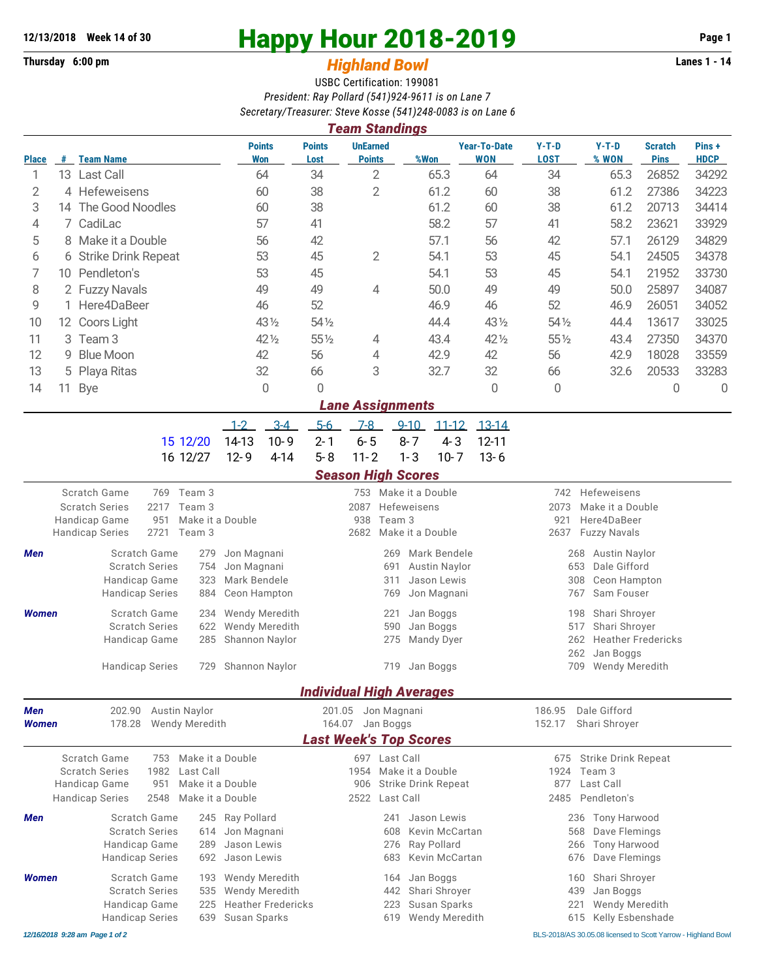## **Thursday 6:00 pm** *Highland Bowl* **Lanes 1 - 14**

## **12/13/2018 Week 14 of 30 Happy Hour 2018-2019 Page 1**

## USBC Certification: 199081 *President: Ray Pollard (541)924-9611 is on Lane 7 Secretary/Treasurer: Steve Kosse (541)248-0083 is on Lane 6*

| <b>Team Standings</b> |    |                       |                             |                       |                                  |                   |                                   |                        |                  |                               |                      |  |
|-----------------------|----|-----------------------|-----------------------------|-----------------------|----------------------------------|-------------------|-----------------------------------|------------------------|------------------|-------------------------------|----------------------|--|
| <b>Place</b>          | #  | <b>Team Name</b>      | <b>Points</b><br><b>Won</b> | <b>Points</b><br>Lost | <b>UnEarned</b><br><b>Points</b> | %Won              | <b>Year-To-Date</b><br><b>WON</b> | $Y-T-D$<br><b>LOST</b> | $Y-T-D$<br>% WON | <b>Scratch</b><br><b>Pins</b> | Pins+<br><b>HDCP</b> |  |
|                       | 13 | <b>Last Call</b>      | 64                          | 34                    | $\overline{2}$                   | 65.3              | 64                                | 34                     | 65.3             | 26852                         | 34292                |  |
| 2                     |    | 4 Hefeweisens         | 60                          | 38                    | $\overline{2}$                   | 61.2              | 60                                | 38                     | 61.2             | 27386                         | 34223                |  |
| 3                     |    | 14 The Good Noodles   | 60                          | 38                    |                                  | 61.2              | 60                                | 38                     | 61.2             | 20713                         | 34414                |  |
| 4                     |    | 7 CadiLac             | 57                          | 41                    |                                  | 58.2              | 57                                | 41                     | 58.2             | 23621                         | 33929                |  |
| 5                     |    | 8 Make it a Double    | 56                          | 42                    |                                  | 57.1              | 56                                | 42                     | 57.1             | 26129                         | 34829                |  |
| 6                     |    | 6 Strike Drink Repeat | 53                          | 45                    | $\overline{2}$                   | 54.1              | 53                                | 45                     | 54.1             | 24505                         | 34378                |  |
|                       |    | 10 Pendleton's        | 53                          | 45                    |                                  | 54.1              | 53                                | 45                     | 54.1             | 21952                         | 33730                |  |
| 8                     |    | 2 Fuzzy Navals        | 49                          | 49                    | $\overline{4}$                   | 50.0              | 49                                | 49                     | 50.0             | 25897                         | 34087                |  |
| 9                     |    | 1 Here4DaBeer         | 46                          | 52                    |                                  | 46.9              | 46                                | 52                     | 46.9             | 26051                         | 34052                |  |
| 10                    |    | 12 Coors Light        | 43 1/2                      | 54 1/2                |                                  | 44.4              | 43 1/2                            | 54 1/2                 | 44.4             | 13617                         | 33025                |  |
| 11                    |    | 3 Team 3              | $42\frac{1}{2}$             | $55\%$                | 4                                | 43.4              | 42 1/2                            | $55\%$                 | 43.4             | 27350                         | 34370                |  |
| 12                    |    | 9 Blue Moon           | 42                          | 56                    | 4                                | 42.9              | 42                                | 56                     | 42.9             | 18028                         | 33559                |  |
| 13                    |    | 5 Playa Ritas         | 32                          | 66                    | 3                                | 32.7              | 32                                | 66                     | 32.6             | 20533                         | 33283                |  |
| 14                    | 11 | Bye                   | 0                           | 0                     |                                  |                   | 0                                 | 0                      |                  | 0                             | 0                    |  |
|                       |    |                       |                             |                       | <b>Lane Assignments</b>          |                   |                                   |                        |                  |                               |                      |  |
|                       |    |                       | $3 - 4$<br>$1 - 2$          | $5 - 6$               | 7-8                              | $9 - 10$<br>11-12 | _13-14                            |                        |                  |                               |                      |  |
|                       |    |                       |                             |                       |                                  |                   |                                   |                        |                  |                               |                      |  |

| 15 12/20 14-13 10-9 2-1 6-5 8-7 4-3 12-11 |  |  |  |  |
|-------------------------------------------|--|--|--|--|
| 16 12/27 12-9 4-14 5-8 11-2 1-3 10-7 13-6 |  |  |  |  |

## *Season High Scores*

|              | Scratch Game           | 769                             | Team 3               |                           | 753                             |               | Make it a Double           | 742                     | Hefeweisens                      |  |  |
|--------------|------------------------|---------------------------------|----------------------|---------------------------|---------------------------------|---------------|----------------------------|-------------------------|----------------------------------|--|--|
|              | <b>Scratch Series</b>  | 2217                            | Team 3               |                           | 2087                            |               | Hefeweisens                | 2073                    | Make it a Double                 |  |  |
|              | <b>Handicap Game</b>   | 951                             | Make it a Double     |                           | 938                             | Team 3        |                            | 921                     | Here4DaBeer                      |  |  |
|              | <b>Handicap Series</b> | 2721                            | Team 3               |                           | 2682                            |               | Make it a Double           | 2637                    | <b>Fuzzy Navals</b>              |  |  |
| <b>Men</b>   |                        | Scratch Game                    | 279                  | Jon Magnani               |                                 | 269           | Mark Bendele               |                         | 268 Austin Naylor                |  |  |
|              | <b>Scratch Series</b>  |                                 | 754                  | Jon Magnani               |                                 | 691           | <b>Austin Naylor</b>       |                         | Dale Gifford<br>653              |  |  |
|              | <b>Handicap Game</b>   |                                 | 323                  | Mark Bendele              |                                 | 311           | Jason Lewis                |                         | 308<br><b>Ceon Hampton</b>       |  |  |
|              | <b>Handicap Series</b> |                                 | 884                  | Ceon Hampton              |                                 | 769           | Jon Magnani                |                         | Sam Fouser<br>767                |  |  |
| <b>Women</b> |                        | Scratch Game                    |                      | 234 Wendy Meredith        |                                 | 221           | Jan Boggs                  |                         | Shari Shroyer<br>198             |  |  |
|              |                        | <b>Scratch Series</b>           | 622                  | <b>Wendy Meredith</b>     |                                 | 590           | Jan Boggs                  |                         | Shari Shroyer<br>517             |  |  |
|              | Handicap Game          |                                 |                      | 285 Shannon Naylor        |                                 | 275           | Mandy Dyer                 |                         | <b>Heather Fredericks</b><br>262 |  |  |
|              |                        |                                 |                      |                           |                                 |               |                            |                         | 262<br>Jan Boggs                 |  |  |
|              | <b>Handicap Series</b> |                                 |                      | 729 Shannon Naylor        |                                 |               | 719 Jan Boggs              |                         | <b>Wendy Meredith</b><br>709     |  |  |
|              |                        |                                 |                      |                           | <b>Individual High Averages</b> |               |                            |                         |                                  |  |  |
| <b>Men</b>   | 202.90                 |                                 | <b>Austin Naylor</b> |                           | 201.05                          | Jon Magnani   |                            | 186.95                  | Dale Gifford                     |  |  |
| <b>Women</b> |                        | <b>Wendy Meredith</b><br>178.28 |                      |                           | 164.07                          | Jan Boggs     |                            | 152.17<br>Shari Shroyer |                                  |  |  |
|              |                        |                                 |                      |                           | <b>Last Week's Top Scores</b>   |               |                            |                         |                                  |  |  |
|              | Scratch Game           | 753                             | Make it a Double     |                           |                                 | 697 Last Call |                            | 675                     | <b>Strike Drink Repeat</b>       |  |  |
|              | <b>Scratch Series</b>  | 1982                            | Last Call            |                           | 1954                            |               | Make it a Double           | 1924                    | Team 3                           |  |  |
|              | Handicap Game          | 951                             | Make it a Double     |                           | 906                             |               | <b>Strike Drink Repeat</b> | 877                     | Last Call                        |  |  |
|              | <b>Handicap Series</b> | 2548                            | Make it a Double     |                           | 2522                            | Last Call     |                            | 2485                    | Pendleton's                      |  |  |
| <b>Men</b>   |                        | Scratch Game                    |                      | 245 Ray Pollard           |                                 | 241           | Jason Lewis                |                         | Tony Harwood<br>236              |  |  |
|              |                        | <b>Scratch Series</b>           | 614                  | Jon Magnani               |                                 | 608           | Kevin McCartan             |                         | Dave Flemings<br>568             |  |  |
|              | Handicap Game          |                                 | 289                  | Jason Lewis               |                                 | 276           | Ray Pollard                |                         | <b>Tony Harwood</b><br>266       |  |  |
|              | <b>Handicap Series</b> |                                 | 692                  | Jason Lewis               |                                 | 683           | Kevin McCartan             |                         | Dave Flemings<br>676             |  |  |
| <b>Women</b> |                        | Scratch Game                    | 193                  | <b>Wendy Meredith</b>     |                                 | 164           | Jan Boggs                  |                         | Shari Shroyer<br>160             |  |  |
|              |                        | <b>Scratch Series</b>           | 535                  | <b>Wendy Meredith</b>     |                                 | 442           | Shari Shroyer              |                         | Jan Boggs<br>439                 |  |  |
|              | Handicap Game          |                                 | 225                  | <b>Heather Fredericks</b> |                                 | 223           | Susan Sparks               |                         | Wendy Meredith<br>221            |  |  |
|              | <b>Handicap Series</b> |                                 | 639                  | Susan Sparks              |                                 | 619           | <b>Wendy Meredith</b>      |                         | Kelly Esbenshade<br>615          |  |  |